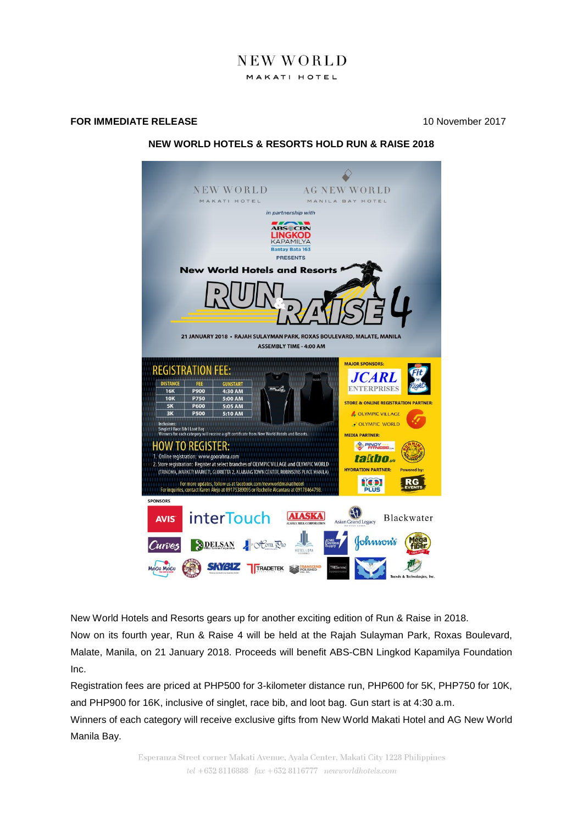# NEW WORLD MAKATI HOTEL

#### **FOR IMMEDIATE RELEASE** 10 November 2017

## **NEW WORLD HOTELS & RESORTS HOLD RUN & RAISE 2018**



New World Hotels and Resorts gears up for another exciting edition of Run & Raise in 2018.

Now on its fourth year, Run & Raise 4 will be held at the Rajah Sulayman Park, Roxas Boulevard, Malate, Manila, on 21 January 2018. Proceeds will benefit ABS-CBN Lingkod Kapamilya Foundation Inc.

Registration fees are priced at PHP500 for 3-kilometer distance run, PHP600 for 5K, PHP750 for 10K, and PHP900 for 16K, inclusive of singlet, race bib, and loot bag. Gun start is at 4:30 a.m.

Winners of each category will receive exclusive gifts from New World Makati Hotel and AG New World Manila Bay.